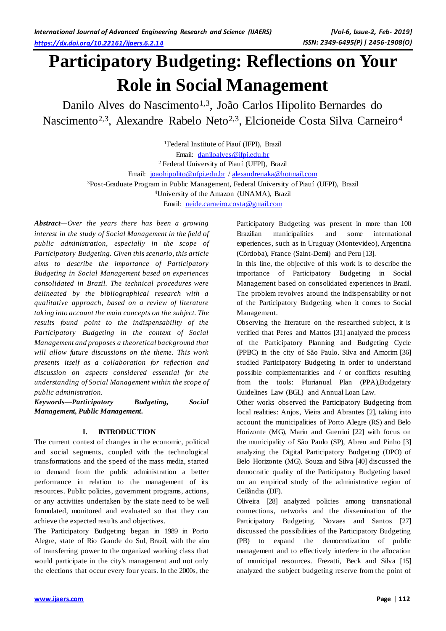# **Participatory Budgeting: Reflections on Your Role in Social Management**

Danilo Alves do Nascimento<sup>1,3</sup>, João Carlos Hipolito Bernardes do Nascimento<sup>2,3</sup>, Alexandre Rabelo Neto<sup>2,3</sup>, Elcioneide Costa Silva Carneiro<sup>4</sup>

> Federal Institute of Piauí (IFPI), Brazil Email: [daniloalves@ifpi.edu.br](mailto:daniloalves@ifpi.edu.br) Federal University of Piauí (UFPI), Brazil Email: [joaohipolito@ufpi.edu.br](mailto:joaohipolito@ufpi.edu.br) [/ alexandrenaka@hotmail.com](mailto:alexandrenaka@hotmail.com) Post-Graduate Program in Public Management, Federal University of Piauí (UFPI), Brazil University of the Amazon (UNAMA), Brazil

Email: [neide.carneiro.costa@gmail.com](mailto:neide.carneiro.costa@gmail.com)

*Abstract—Over the years there has been a growing interest in the study of Social Management in the field of public administration, especially in the scope of Participatory Budgeting. Given this scenario, this article aims to describe the importance of Participatory Budgeting in Social Management based on experiences consolidated in Brazil. The technical procedures were delineated by the bibliographical research with a qualitative approach, based on a review of literature taking into account the main concepts on the subject. The results found point to the indispensability of the Participatory Budgeting in the context of Social Management and proposes a theoretical background that will allow future discussions on the theme. This work presents itself as a collaboration for reflection and discussion on aspects considered essential for the understanding of Social Management within the scope of public administration.*

*Keywords—Participatory Budgeting, Social Management, Public Management.*

# **I. INTRODUCTION**

The current context of changes in the economic, political and social segments, coupled with the technological transformations and the speed of the mass media, started to demand from the public administration a better performance in relation to the management of its resources. Public policies, government programs, actions, or any activities undertaken by the state need to be well formulated, monitored and evaluated so that they can achieve the expected results and objectives.

The Participatory Budgeting began in 1989 in Porto Alegre, state of Rio Grande do Sul, Brazil, with the aim of transferring power to the organized working class that would participate in the city's management and not only the elections that occur every four years. In the 2000s, the Participatory Budgeting was present in more than 100 Brazilian municipalities and some international experiences, such as in Uruguay (Montevideo), Argentina (Córdoba), France (Saint-Demi) and Peru [13].

In this line, the objective of this work is to describe the importance of Participatory Budgeting in Social Management based on consolidated experiences in Brazil. The problem revolves around the indispensability or not of the Participatory Budgeting when it comes to Social Management.

Observing the literature on the researched subject, it is verified that Peres and Mattos [31] analyzed the process of the Participatory Planning and Budgeting Cycle (PPBC) in the city of São Paulo. Silva and Amorim [36] studied Participatory Budgeting in order to understand possible complementarities and / or conflicts resulting from the tools: Plurianual Plan (PPA),Budgetary Guidelines Law (BGL) and Annual Loan Law.

Other works observed the Participatory Budgeting from local realities: Anjos, Vieira and Abrantes [2], taking into account the municipalities of Porto Alegre (RS) and Belo Horizonte (MG), Marin and Guerrini [22] with focus on the municipality of São Paulo (SP), Abreu and Pinho [3] analyzing the Digital Participatory Budgeting (DPO) of Belo Horizonte (MG). Souza and Silva [40] discussed the democratic quality of the Participatory Budgeting based on an empirical study of the administrative region of Ceilândia (DF).

Oliveira [28] analyzed policies among transnational connections, networks and the dissemination of the Participatory Budgeting. Novaes and Santos [27] discussed the possibilities of the Participatory Budgeting (PB) to expand the democratization of public management and to effectively interfere in the allocation of municipal resources. Frezatti, Beck and Silva [15] analyzed the subject budgeting reserve from the point of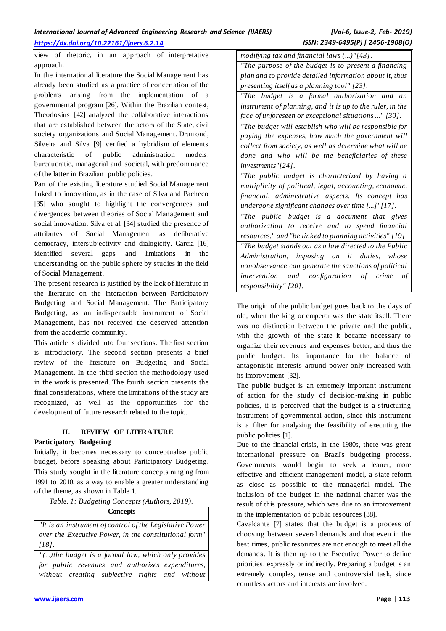# *International Journal of Advanced Engineering Research and Science (IJAERS) [Vol-6, Issue-2, Feb- 2019]*

view of rhetoric, in an approach of interpretative approach.

In the international literature the Social Management has already been studied as a practice of concertation of the problems arising from the implementation of a governmental program [26]. Within the Brazilian context, Theodosius [42] analyzed the collaborative interactions that are established between the actors of the State, civil society organizations and Social Management. Drumond, Silveira and Silva [9] verified a hybridism of elements characteristic of public administration models: bureaucratic, managerial and societal, with predominance

of the latter in Brazilian public policies. Part of the existing literature studied Social Management linked to innovation, as in the case of Silva and Pacheco [35] who sought to highlight the convergences and divergences between theories of Social Management and social innovation. Silva et al. [34] studied the presence of attributes of Social Management as deliberative democracy, intersubjectivity and dialogicity. Garcia [16] identified several gaps and limitations in the understanding on the public sphere by studies in the field of Social Management.

The present research is justified by the lack of literature in the literature on the interaction between Participatory Budgeting and Social Management. The Participatory Budgeting, as an indispensable instrument of Social Management, has not received the deserved attention from the academic community.

This article is divided into four sections. The first section is introductory. The second section presents a brief review of the literature on Budgeting and Social Management. In the third section the methodology used in the work is presented. The fourth section presents the final considerations, where the limitations of the study are recognized, as well as the opportunities for the development of future research related to the topic.

# **II. REVIEW OF LITERATURE**

# **Participatory Budgeting**

Initially, it becomes necessary to conceptualize public budget, before speaking about Participatory Budgeting. This study sought in the literature concepts ranging from 1991 to 2010, as a way to enable a greater understanding of the theme, as shown in Table 1.

*Table. 1: Budgeting Concepts (Authors, 2019).*

# **Concepts**

*"It is an instrument of control of the Legislative Power over the Executive Power, in the constitutional form" [18].*

*"(...)the budget is a formal law, which only provides for public revenues and authorizes expenditures, without creating subjective rights and without*  *modifying tax and financial laws (...)"[43]. "The purpose of the budget is to present a financing plan and to provide detailed information about it, thus presenting itself as a planning tool" [23].*

*"The budget is a formal authorization and an instrument of planning, and it is up to the ruler, in the face of unforeseen or exceptional situations ..." [30].*

*"The budget will establish who will be responsible for paying the expenses, how much the government will collect from society, as well as determine what will be done and who will be the beneficiaries of these investments"[24].*

*"The public budget is characterized by having a multiplicity of political, legal, accounting, economic, financial, administrative aspects. Its concept has undergone significant changes over time [...]"[17].*

*"The public budget is a document that gives authorization to receive and to spend financial resources," and "be linked to planning activities" [19]. "The budget stands out as a law directed to the Public Administration, imposing on it duties, whose nonobservance can generate the sanctions of political intervention and configuration of crime of responsibility" [20].* 

The origin of the public budget goes back to the days of old, when the king or emperor was the state itself. There was no distinction between the private and the public, with the growth of the state it became necessary to organize their revenues and expenses better, and thus the public budget. Its importance for the balance of antagonistic interests around power only increased with its improvement [32].

The public budget is an extremely important instrument of action for the study of decision-making in public policies, it is perceived that the budget is a structuring instrument of governmental action, since this instrument is a filter for analyzing the feasibility of executing the public policies [1].

Due to the financial crisis, in the 1980s, there was great international pressure on Brazil's budgeting process. Governments would begin to seek a leaner, more effective and efficient management model, a state reform as close as possible to the managerial model. The inclusion of the budget in the national charter was the result of this pressure, which was due to an improvement in the implementation of public resources [38].

Cavalcante [7] states that the budget is a process of choosing between several demands and that even in the best times, public resources are not enough to meet all the demands. It is then up to the Executive Power to define priorities, expressly or indirectly. Preparing a budget is an extremely complex, tense and controversial task, since countless actors and interests are involved.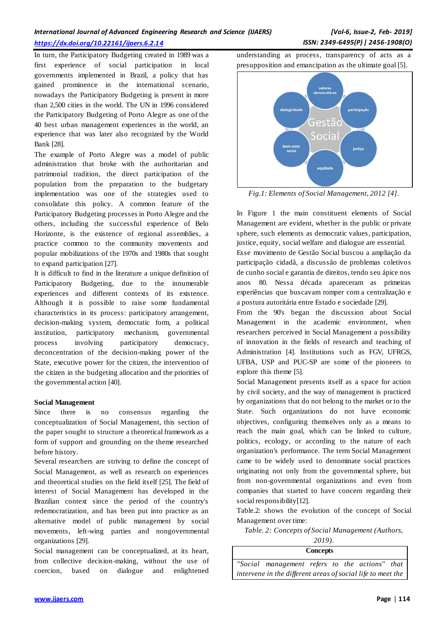| International Journal of Advanced Engineering Research and Science (IJAERS) |  |  |
|-----------------------------------------------------------------------------|--|--|
| https://dx.doi.org/10.22161/ijaers.6.2.14                                   |  |  |

In turn, the Participatory Budgeting created in 1989 was a first experience of social participation in local governments implemented in Brazil, a policy that has gained prominence in the international scenario, nowadays the Participatory Budgeting is present in more than 2,500 cities in the world. The UN in 1996 considered the Participatory Budgeting of Porto Alegre as one of the 40 best urban management experiences in the world, an experience that was later also recognized by the World Bank [28].

The example of Porto Alegre was a model of public administration that broke with the authoritarian and patrimonial tradition, the direct participation of the population from the preparation to the budgetary implementation was one of the strategies used to consolidate this policy. A common feature of the Participatory Budgeting processes in Porto Alegre and the others, including the successful experience of Belo Horizonte, is the existence of regional assemblies, a practice common to the community movements and popular mobilizations of the 1970s and 1980s that sought to expand participation [27].

It is difficult to find in the literature a unique definition of Participatory Budgeting, due to the innumerable experiences and different contexts of its existence. Although it is possible to raise some fundamental characteristics in its process: participatory arrangement, decision-making system, democratic form, a political institution, participatory mechanism, governmental process involving participatory democracy, deconcentration of the decision-making power of the State, executive power for the citizen, the intervention of the citizen in the budgeting allocation and the priorities of the governmental action [40].

#### **Social Management**

Since there is no consensus regarding the conceptualization of Social Management, this section of the paper sought to structure a theoretical framework as a form of support and grounding on the theme researched before history.

Several researchers are striving to define the concept of Social Management, as well as research on experiences and theoretical studies on the field itself [25]. The field of interest of Social Management has developed in the Brazilian context since the period of the country's redemocratization, and has been put into practice as an alternative model of public management by social movements, left-wing parties and nongovernmental organizations [29].

Social management can be conceptualized, at its heart, from collective decision-making, without the use of coercion, based on dialogue and enlightened

understanding as process, transparency of acts as a presupposition and emancipation as the ultimate goal [5].



*Fig.1: Elements of Social Management, 2012 [4].*

In Figure 1 the main constituent elements of Social Management are evident, whether in the public or private sphere, such elements as democratic values, participation, justice, equity, social welfare and dialogue are essential.

Esse movimento de Gestão Social buscou a ampliação da participação cidadã, a discussão de problemas coletivos de cunho social e garantia de direitos, tendo seu ápice nos anos 80. Nessa década apareceram as primeiras experiências que buscavam romper com a centralização e a postura autoritária entre Estado e sociedade [29].

From the 90's began the discussion about Social Management in the academic environment, when researchers perceived in Social Management a possibility of innovation in the fields of research and teaching of Administration [4]. Institutions such as FGV, UFRGS, UFBA, USP and PUC-SP are some of the pioneers to explore this theme [5].

Social Management presents itself as a space for action by civil society, and the way of management is practiced by organizations that do not belong to the market or to the State. Such organizations do not have economic objectives, configuring themselves only as a means to reach the main goal, which can be linked to culture, politics, ecology, or according to the nature of each organization's performance. The term Social Management came to be widely used to denominate social practices originating not only from the governmental sphere, but from non-governmental organizations and even from companies that started to have concern regarding their social responsibility<sup>[12]</sup>.

Table.2: shows the evolution of the concept of Social Management over time:

*Table. 2: Concepts of Social Management (Authors,* 

*2019).*

**Concepts**

*"Social management refers to the actions" that intervene in the different areas of social life to meet the*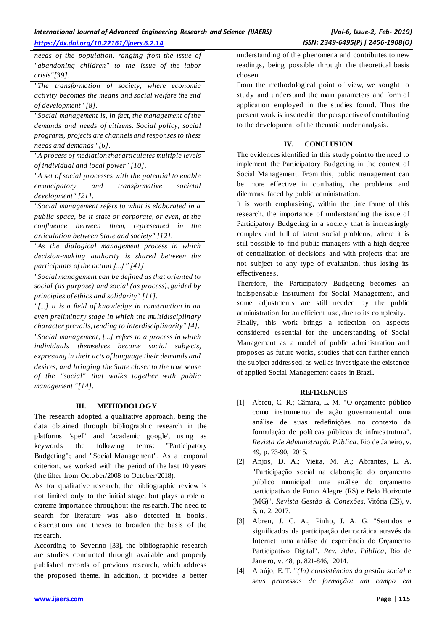# *International Journal of Advanced Engineering Research and Science (IJAERS) [Vol-6, Issue-2, Feb- 2019]*

*needs of the population, ranging from the issue of "abandoning children" to the issue of the labor crisis"[39].*

*"The transformation of society, where economic activity becomes the means and social welfare the end of development" [8].*

*"Social management is, in fact, the management of the demands and needs of citizens. Social policy, social programs, projects are channels and responses to these needs and demands "[6].*

*"A process of mediation that articulates multiple levels of individual and local power" [10].*

*"A set of social processes with the potential to enable emancipatory and transformative societal development" [21].*

*"Social management refers to what is elaborated in a public space, be it state or corporate, or even, at the confluence between them, represented in the articulation between State and society" [12].*

*"As the dialogical management process in which decision-making authority is shared between the participants of the action [...]" [41].* 

*"Social management can be defined as that oriented to social (as purpose) and social (as process), guided by principles of ethics and solidarity" [11].*

*"[...] it is a field of knowledge in construction in an even preliminary stage in which the multidisciplinary character prevails, tending to interdisciplinarity" [4]. "Social management, [...] refers to a process in which individuals themselves become social subjects,* 

*expressing in their acts of language their demands and desires, and bringing the State closer to the true sense of the "social" that walks together with public management "[14].*

# **III. METHODOLOGY**

The research adopted a qualitative approach, being the data obtained through bibliographic research in the platforms 'spell' and 'academic google', using as keywords the following terms: "Participatory Budgeting"; and "Social Management". As a temporal criterion, we worked with the period of the last 10 years (the filter from October/2008 to October/2018).

As for qualitative research, the bibliographic review is not limited only to the initial stage, but plays a role of extreme importance throughout the research. The need to search for literature was also detected in books, dissertations and theses to broaden the basis of the research.

According to Severino [33], the bibliographic research are studies conducted through available and properly published records of previous research, which address the proposed theme. In addition, it provides a better understanding of the phenomena and contributes to new readings, being possible through the theoretical basis chosen

From the methodological point of view, we sought to study and understand the main parameters and form of application employed in the studies found. Thus the present work is inserted in the perspective of contributing to the development of the thematic under analysis.

# **IV. CONCLUSION**

The evidences identified in this study point to the need to implement the Participatory Budgeting in the context of Social Management. From this, public management can be more effective in combating the problems and dilemmas faced by public administration.

It is worth emphasizing, within the time frame of this research, the importance of understanding the issue of Participatory Budgeting in a society that is increasingly complex and full of latent social problems, where it is still possible to find public managers with a high degree of centralization of decisions and with projects that are not subject to any type of evaluation, thus losing its effectiveness.

Therefore, the Participatory Budgeting becomes an indispensable instrument for Social Management, and some adjustments are still needed by the public administration for an efficient use, due to its complexity.

Finally, this work brings a reflection on aspects considered essential for the understanding of Social Management as a model of public administration and proposes as future works, studies that can further enrich the subject addressed, as well as investigate the existence of applied Social Management cases in Brazil.

# **REFERENCES**

- [1] Abreu, C. R.; Câmara, L. M. "O orçamento público como instrumento de ação governamental: uma análise de suas redefinições no contexto da formulação de políticas públicas de infraestrutura". *Revista de Administração Pública*, Rio de Janeiro, v. 49, p. 73-90, 2015.
- [2] Anjos, D. A.; Vieira, M. A.; Abrantes, L. A. "Participação social na elaboração do orçamento público municipal: uma análise do orçamento participativo de Porto Alegre (RS) e Belo Horizonte (MG)". *Revista Gestão & Conexões*, Vitória (ES), v. 6, n. 2, 2017.
- [3] Abreu, J. C. A.; Pinho, J. A. G. "Sentidos e significados da participação democrática através da Internet: uma análise da experiência do Orçamento Participativo Digital". *Rev. Adm. Pública*, Rio de Janeiro, v. 48, p. 821-846, 2014.
- [4] Araújo, E. T. "*(In) consistências da gestão social e seus processos de formação: um campo em*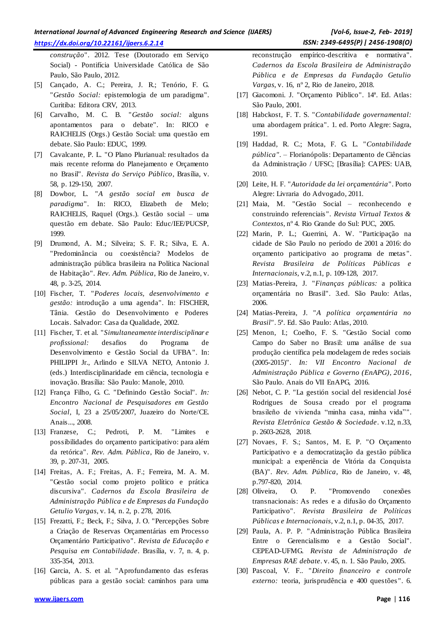*construção*". 2012. Tese (Doutorado em Serviço Social) - Pontifícia Universidade Católica de São Paulo, São Paulo, 2012.

- [5] Cançado, A. C.; Pereira, J. R.; Tenório, F. G. "*Gestão Social:* epistemologia de um paradigma". Curitiba: Editora CRV, 2013.
- [6] Carvalho, M. C. B. "*Gestão social:* alguns apontamentos para o debate". In: RICO e RAICHELIS (Orgs.) Gestão Social: uma questão em debate. São Paulo: EDUC, 1999.
- [7] Cavalcante, P. L. "O Plano Plurianual: resultados da mais recente reforma do Planejamento e Orçamento no Brasil". *Revista do Serviço Público*, Brasília, v. 58, p. 129-150, 2007.
- [8] Dowbor, L. "*A gestão social em busca de paradigma*". In: RICO, Elizabeth de Melo; RAICHELIS, Raquel (Orgs.). Gestão social – uma questão em debate. São Paulo: Educ/IEE/PUCSP, 1999.
- [9] Drumond, A. M.; Silveira; S. F. R.; Silva, E. A. "Predominância ou coexistência? Modelos de administração pública brasileira na Política Nacional de Habitação". *Rev. Adm. Pública*, Rio de Janeiro, v. 48, p. 3-25, 2014.
- [10] Fischer, T. "*Poderes locais, desenvolvimento e gestão:* introdução a uma agenda". In: FISCHER, Tânia. Gestão do Desenvolvimento e Poderes Locais. Salvador: Casa da Qualidade, 2002.
- [11] Fischer, T. et al. "*Simultaneamente interdisciplinar e profissional:* desafios do Programa de Desenvolvimento e Gestão Social da UFBA". In: PHILIPPI Jr., Arlindo e SILVA NETO, Antonio J. (eds.) Interdisciplinaridade em ciência, tecnologia e inovação. Brasília: São Paulo: Manole, 2010.
- [12] França Filho, G. C. "Definindo Gestão Social". *In: Encontro Nacional de Pesquisadores em Gestão Social*, I, 23 a 25/05/2007, Juazeiro do Norte/CE. Anais..., 2008.
- [13] Franzese, C.; Pedroti, P. M. "Limites e possibilidades do orçamento participativo: para além da retórica". *Rev. Adm. Pública*, Rio de Janeiro, v. 39, p. 207-31, 2005.
- [14] Freitas, A. F.; Freitas, A. F.; Ferreira, M. A. M. "Gestão social como projeto político e prática discursiva". *Cadernos da Escola Brasileira de Administração Pública e de Empresas da Fundação Getulio Vargas*, v. 14, n. 2, p. 278, 2016.
- [15] Frezatti, F.; Beck, F.; Silva, J. O. "Percepções Sobre a Criação de Reservas Orçamentárias em Processo Orçamentário Participativo". *Revista de Educação e Pesquisa em Contabilidade*. Brasília, v. 7, n. 4, p. 335-354, 2013.
- [16] Garcia, A. S. et al. "Aprofundamento das esferas públicas para a gestão social: caminhos para uma

reconstrução empírico-descritiva e normativa". *Cadernos da Escola Brasileira de Administração Pública e de Empresas da Fundação Getulio Vargas*, v. 16, nº 2, Rio de Janeiro, 2018.

- [17] Giacomoni. J. "Orçamento Público". 14ª. Ed. Atlas: São Paulo, 2001.
- [18] Habckost, F. T. S. "*Contabilidade governamental:* uma abordagem prática". 1. ed. Porto Alegre: Sagra, 1991.
- [19] Haddad, R. C.; Mota, F. G. L. "*Contabilidade pública"*. – Florianópolis: Departamento de Ciências da Administração / UFSC; [Brasília]: CAPES: UAB, 2010.
- [20] Leite, H. F. "*Autoridade da lei orçamentária*". Porto Alegre: Livraria do Advogado, 2011.
- [21] Maia, M. "Gestão Social reconhecendo e construindo referenciais". *Revista Virtual Textos & Contextos*, nº 4. Rio Grande do Sul: PUC, 2005.
- [22] Marin, P. L.; Guerrini, A. W. "Participação na cidade de São Paulo no período de 2001 a 2016: do orçamento participativo ao programa de metas ". *Revista Brasileira de Políticas Públicas e Internacionais*, v.2, n.1, p. 109-128, 2017.
- [23] Matias-Pereira, J. "*Finanças públicas:* a política orçamentária no Brasil". 3.ed. São Paulo: Atlas, 2006.
- [24] Matias-Pereira, J. "*A política orçamentária no Brasil*". 5ª. Ed. São Paulo: Atlas, 2010.
- [25] Menon, I.; Coelho, F. S. "Gestão Social como Campo do Saber no Brasil: uma análise de sua produção científica pela modelagem de redes sociais (2005-2015)". *In: VII Encontro Nacional de Administração Pública e Governo (EnAPG), 2016*, São Paulo. Anais do VII EnAPG, 2016.
- [26] Nebot, C. P. "La gestión social del residencial José Rodrigues de Sousa creado por el programa brasileño de vivienda "minha casa, minha vida"". *Revista Eletrônica Gestão & Sociedade*. v.12, n.33, p. 2603-2628, 2018.
- [27] Novaes, F. S.; Santos, M. E. P. "O Orçamento Participativo e a democratização da gestão pública municipal: a experiência de Vitória da Conquista (BA)". *Rev. Adm. Pública*, Rio de Janeiro, v. 48, p.797-820, 2014.
- [28] Oliveira, O. P. "Promovendo conexões transnacionais: As redes e a difusão do Orçamento Participativo". *Revista Brasileira de Políticas Públicas e Internacionais*, v.2, n.1, p. 04-35, 2017.
- [29] Paula, A. P. P. "Administração Pública Brasileira Entre o Gerencialismo e a Gestão Social". CEPEAD-UFMG. *Revista de Administração de Empresas RAE debate*. v. 45, n. 1. São Paulo, 2005.
- [30] Pascoal, V. F.. "*Direito financeiro e controle externo:* teoria, jurisprudência e 400 questões ". 6.